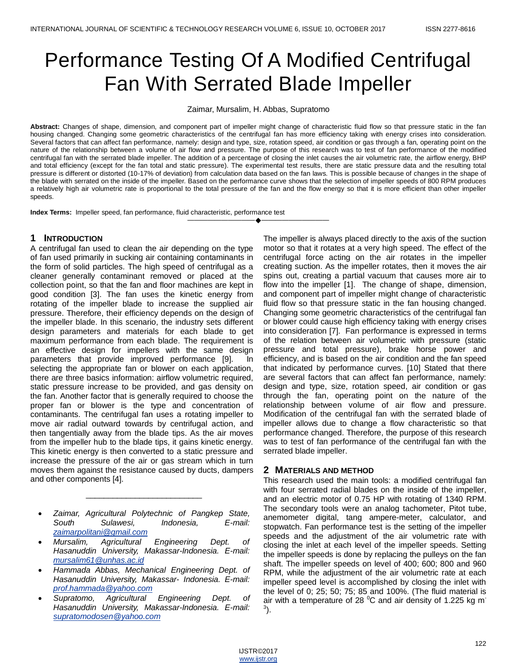# Performance Testing Of A Modified Centrifugal Fan With Serrated Blade Impeller

Zaimar, Mursalim, H. Abbas, Supratomo

**Abstract:** Changes of shape, dimension, and component part of impeller might change of characteristic fluid flow so that pressure static in the fan housing changed. Changing some geometric characteristics of the centrifugal fan has more efficiency taking with energy crises into consideration. Several factors that can affect fan performance, namely: design and type, size, rotation speed, air condition or gas through a fan, operating point on the nature of the relationship between a volume of air flow and pressure. The purpose of this research was to test of fan performance of the modified centrifugal fan with the serrated blade impeller. The addition of a percentage of closing the inlet causes the air volumetric rate, the airflow energy, BHP and total efficiency (except for the fan total and static pressure). The experimental test results, there are static pressure data and the resulting total pressure is different or distorted (10-17% of deviation) from calculation data based on the fan laws. This is possible because of changes in the shape of the blade with serrated on the inside of the impeller. Based on the performance curve shows that the selection of impeller speeds of 800 RPM produces a relatively high air volumetric rate is proportional to the total pressure of the fan and the flow energy so that it is more efficient than other impeller speeds.

————————————————————

**Index Terms:** Impeller speed, fan performance, fluid characteristic, performance test

## **1 INTRODUCTION**

A centrifugal fan used to clean the air depending on the type of fan used primarily in sucking air containing contaminants in the form of solid particles. The high speed of centrifugal as a cleaner generally contaminant removed or placed at the collection point, so that the fan and floor machines are kept in good condition [3]. The fan uses the kinetic energy from rotating of the impeller blade to increase the supplied air pressure. Therefore, their efficiency depends on the design of the impeller blade. In this scenario, the industry sets different design parameters and materials for each blade to get maximum performance from each blade. The requirement is an effective design for impellers with the same design parameters that provide improved performance [9]. In selecting the appropriate fan or blower on each application, there are three basics information: airflow volumetric required, static pressure increase to be provided, and gas density on the fan. Another factor that is generally required to choose the proper fan or blower is the type and concentration of contaminants. The centrifugal fan uses a rotating impeller to move air radial outward towards by centrifugal action, and then tangentially away from the blade tips. As the air moves from the impeller hub to the blade tips, it gains kinetic energy. This kinetic energy is then converted to a static pressure and increase the pressure of the air or gas stream which in turn moves them against the resistance caused by ducts, dampers and other components [4].

 *Zaimar, Agricultural Polytechnic of Pangkep State, South Sulawesi, Indonesia, E-mail: [zaimarpolitani@gmail.com](mailto:zaimarpolitani@gmail.com)*

\_\_\_\_\_\_\_\_\_\_\_\_\_\_\_\_\_\_\_\_\_\_\_\_\_\_

- *Mursalim, Agricultural Engineering Dept. of Hasanuddin University, Makassar-Indonesia. E-mail: [mursalim61@unhas.ac.id](mailto:mursalim61@unhas.ac.id)*
- *Hammada Abbas, Mechanical Engineering Dept. of Hasanuddin University, Makassar- Indonesia. E-mail: [prof.hammada@yahoo.com](mailto:prof.hammada@yahoo.com)*
- *Supratomo, Agricultural Engineering Dept. of Hasanuddin University, Makassar-Indonesia. E-mail: [supratomodosen@yahoo.com](mailto:supratomodosen@yahoo.com)*

The impeller is always placed directly to the axis of the suction motor so that it rotates at a very high speed. The effect of the centrifugal force acting on the air rotates in the impeller creating suction. As the impeller rotates, then it moves the air spins out, creating a partial vacuum that causes more air to flow into the impeller [1]. The change of shape, dimension, and component part of impeller might change of characteristic fluid flow so that pressure static in the fan housing changed. Changing some geometric characteristics of the centrifugal fan or blower could cause high efficiency taking with energy crises into consideration [7]. Fan performance is expressed in terms of the relation between air volumetric with pressure (static pressure and total pressure), brake horse power and efficiency, and is based on the air condition and the fan speed that indicated by performance curves. [10] Stated that there are several factors that can affect fan performance, namely: design and type, size, rotation speed, air condition or gas through the fan, operating point on the nature of the relationship between volume of air flow and pressure. Modification of the centrifugal fan with the serrated blade of impeller allows due to change a flow characteristic so that performance changed. Therefore, the purpose of this research was to test of fan performance of the centrifugal fan with the serrated blade impeller.

## **2 MATERIALS AND METHOD**

This research used the main tools: a modified centrifugal fan with four serrated radial blades on the inside of the impeller, and an electric motor of 0.75 HP with rotating of 1340 RPM. The secondary tools were an analog tachometer, Pitot tube, anemometer digital, tang ampere-meter, calculator, and stopwatch. Fan performance test is the setting of the impeller speeds and the adjustment of the air volumetric rate with closing the inlet at each level of the impeller speeds. Setting the impeller speeds is done by replacing the pulleys on the fan shaft. The impeller speeds on level of 400; 600; 800 and 960 RPM, while the adjustment of the air volumetric rate at each impeller speed level is accomplished by closing the inlet with the level of 0; 25; 50; 75; 85 and 100%. (The fluid material is air with a temperature of 28  $^{\circ}$ C and air density of 1.225 kg m<sup>-</sup> 3 ).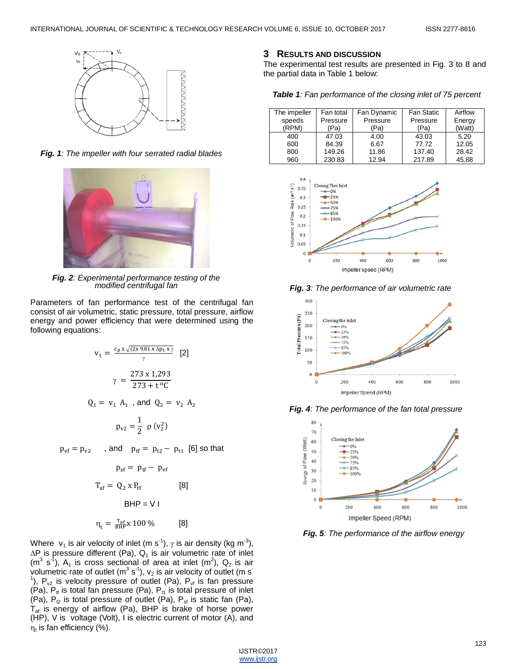

*Fig. 1: The impeller with four serrated radial blades*



*Fig. 2: Experimental performance testing of the modified centrifugal fan*

Parameters of fan performance test of the centrifugal fan consist of air volumetric, static pressure, total pressure, airflow energy and power efficiency that were determined using the following equations:

$$
v_1 = \frac{c_p x \sqrt{(2x 9.81 x \Delta p_1 x \gamma)}}{\gamma} [2]
$$
  

$$
\gamma = \frac{273 x 1.293}{273 + t \,^{\circ}\text{C}}
$$
  

$$
Q_1 = v_1 A_1 \text{, and } Q_2 = v_2 A_2
$$
  

$$
p_{v2} = \frac{1}{2} \rho (v_2^2)
$$

 $p_{vf} = p_{v2}$ , and  $p_{tf} = p_{t2} - p_{t1}$  [6] so that

$$
p_{sf} = p_{tf} - p_{vf}
$$
  
\n
$$
T_{af} = Q_2 \times P_{tf}
$$
 [8]  
\n
$$
BHP = V I
$$
  
\n
$$
\eta_t = \frac{T_{af}}{BHP} \times 100 \text{ % (8)}
$$

Where  $v_1$  is air velocity of inlet (m s<sup>-1</sup>),  $\gamma$  is air density (kg m<sup>-3</sup>),  $\Delta P$  is pressure different (Pa),  $Q_1$  is air volumetric rate of inlet  $(m^3 s^1)$ , A<sub>1</sub> is cross sectional of area at inlet  $(m^2)$ , Q<sub>2</sub> is air volumetric rate of outlet (m<sup>3</sup> s<sup>-1</sup>),  $v_2$  is air velocity of outlet (m s<sup>-1</sup>) <sup>1</sup>),  $P_{v2}$  is velocity pressure of outlet (Pa),  $P_{v1}$  is fan pressure  $(Pa)$ ,  $P<sub>tf</sub>$  is total fan pressure (Pa),  $P<sub>tf</sub>$  is total pressure of inlet (Pa),  $P_{t2}$  is total pressure of outlet (Pa),  $P_{sf}$  is static fan (Pa),  $T_{af}$  is energy of airflow (Pa), BHP is brake of horse power (HP), V is voltage (Volt), I is electric current of motor (A), and  $\eta_{\rm t}$  is fan efficiency (%).

#### **3 RESULTS AND DISCUSSION**

The experimental test results are presented in Fig. 3 to 8 and the partial data in Table 1 below:

| Table 1: Fan performance of the closing inlet of 75 percent |  |  |  |  |
|-------------------------------------------------------------|--|--|--|--|
|-------------------------------------------------------------|--|--|--|--|

| The impeller | Fan total | Fan Dynamic | <b>Fan Static</b> | Airflow |
|--------------|-----------|-------------|-------------------|---------|
| speeds       | Pressure  | Pressure    | Pressure          | Energy  |
| (RPM)        | 'Pa)      | 'Pa)        | 'Pa)              | (Watt)  |
| 400          | 47.03     | 4.00        | 43.03             | 5.20    |
| 600          | 84.39     | 6.67        | 77.72             | 12.05   |
| 800          | 149.26    | 11.86       | 137.40            | 28.42   |
| 960          | 230.83    | 12.94       | 217.89            | 45.88   |



*Fig. 3: The performance of air volumetric rate*







*Fig. 5: The performance of the airflow energy*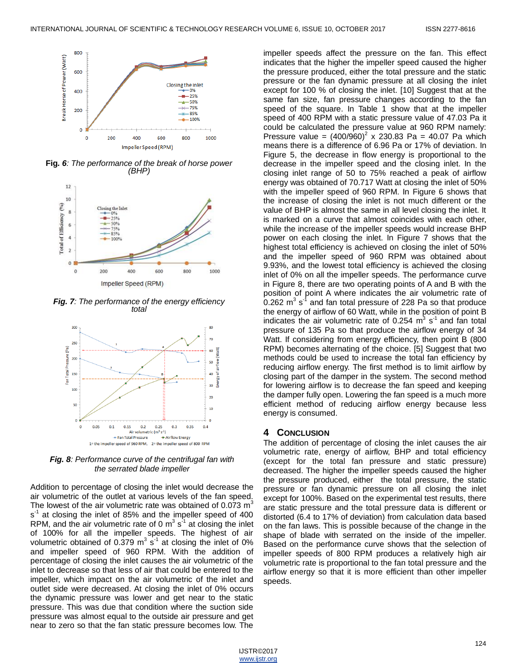

**Fig***. 6: The performance of the break of horse power (BHP)*



*Fig. 7: The performance of the energy efficiency total*



*Fig. 8: Performance curve of the centrifugal fan with the serrated blade impeller*

Addition to percentage of closing the inlet would decrease the air volumetric of the outlet at various levels of the fan speed. The lowest of the air volumetric rate was obtained of 0.073  $m<sup>3</sup>$ s<sup>-1</sup> at closing the inlet of 85% and the impeller speed of 400 RPM, and the air volumetric rate of 0  $\mathrm{m}^3$  s<sup>-1</sup> at closing the inlet of 100% for all the impeller speeds. The highest of air volumetric obtained of 0.379  $\text{m}^3$  s<sup>-1</sup> at closing the inlet of 0% and impeller speed of 960 RPM. With the addition of percentage of closing the inlet causes the air volumetric of the inlet to decrease so that less of air that could be entered to the impeller, which impact on the air volumetric of the inlet and outlet side were decreased. At closing the inlet of 0% occurs the dynamic pressure was lower and get near to the static pressure. This was due that condition where the suction side pressure was almost equal to the outside air pressure and get near to zero so that the fan static pressure becomes low. The

impeller speeds affect the pressure on the fan. This effect indicates that the higher the impeller speed caused the higher the pressure produced, either the total pressure and the static pressure or the fan dynamic pressure at all closing the inlet except for 100 % of closing the inlet. [10] Suggest that at the same fan size, fan pressure changes according to the fan speed of the square. In Table 1 show that at the impeller speed of 400 RPM with a static pressure value of 47.03 Pa it could be calculated the pressure value at 960 RPM namely: Pressure value =  $(400/960)^2$  x 230.83 Pa = 40.07 Pa which means there is a difference of 6.96 Pa or 17% of deviation. In Figure 5, the decrease in flow energy is proportional to the decrease in the impeller speed and the closing inlet. In the closing inlet range of 50 to 75% reached a peak of airflow energy was obtained of 70.717 Watt at closing the inlet of 50% with the impeller speed of 960 RPM. In Figure 6 shows that the increase of closing the inlet is not much different or the value of BHP is almost the same in all level closing the inlet. It is marked on a curve that almost coincides with each other, while the increase of the impeller speeds would increase BHP power on each closing the inlet. In Figure 7 shows that the highest total efficiency is achieved on closing the inlet of 50% and the impeller speed of 960 RPM was obtained about 9.93%, and the lowest total efficiency is achieved the closing inlet of 0% on all the impeller speeds. The performance curve in Figure 8, there are two operating points of A and B with the position of point A where indicates the air volumetric rate of 0.262 m<sup>3</sup> s<sup>-1</sup> and fan total pressure of 228 Pa so that produce the energy of airflow of 60 Watt, while in the position of point B indicates the air volumetric rate of  $0.254 \, \text{m}^3 \, \text{s}^{-1}$  and fan total pressure of 135 Pa so that produce the airflow energy of 34 Watt. If considering from energy efficiency, then point B (800 RPM) becomes alternating of the choice. [5] Suggest that two methods could be used to increase the total fan efficiency by reducing airflow energy. The first method is to limit airflow by closing part of the damper in the system. The second method for lowering airflow is to decrease the fan speed and keeping the damper fully open. Lowering the fan speed is a much more efficient method of reducing airflow energy because less energy is consumed.

#### **4 CONCLUSION**

The addition of percentage of closing the inlet causes the air volumetric rate, energy of airflow, BHP and total efficiency (except for the total fan pressure and static pressure) decreased. The higher the impeller speeds caused the higher the pressure produced, either the total pressure, the static pressure or fan dynamic pressure on all closing the inlet except for 100%. Based on the experimental test results, there are static pressure and the total pressure data is different or distorted (6.4 to 17% of deviation) from calculation data based on the fan laws. This is possible because of the change in the shape of blade with serrated on the inside of the impeller. Based on the performance curve shows that the selection of impeller speeds of 800 RPM produces a relatively high air volumetric rate is proportional to the fan total pressure and the airflow energy so that it is more efficient than other impeller speeds.